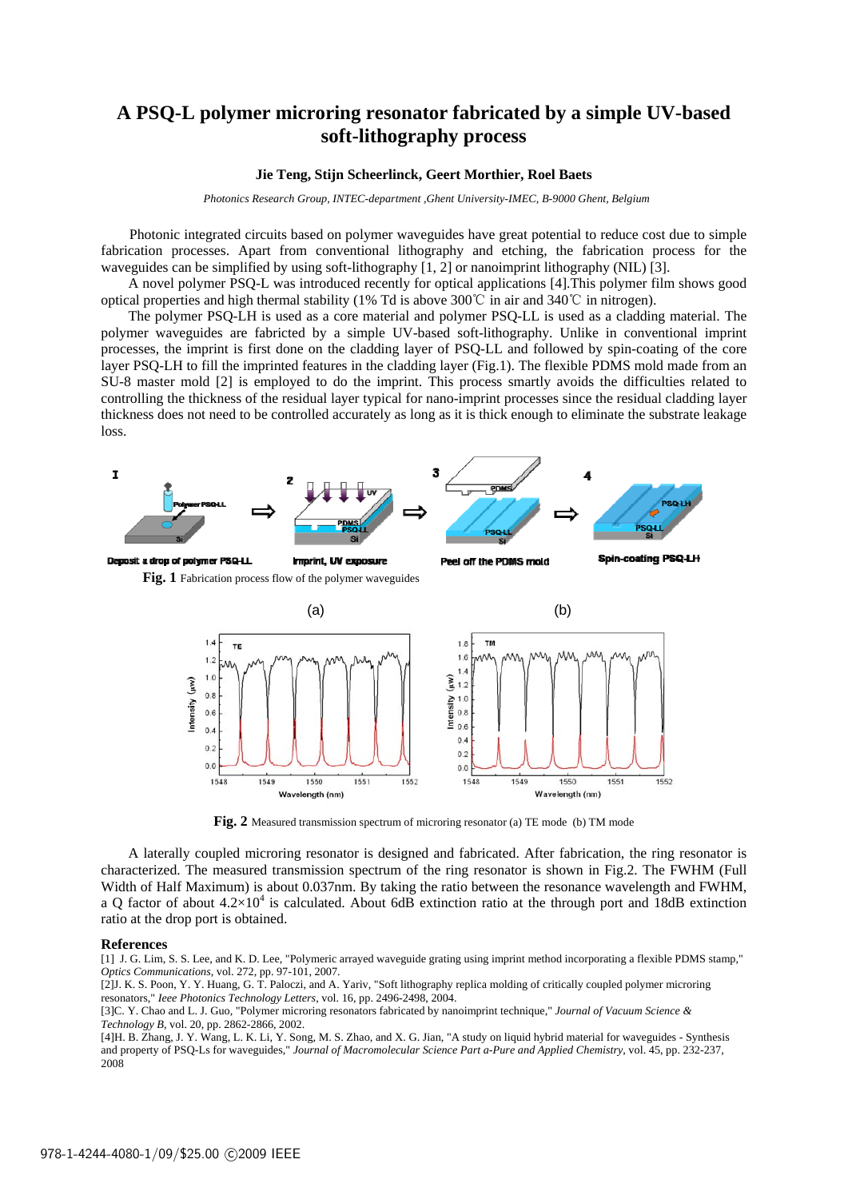### **A PSQ-L polymer microring resonator fabricated by a simple UV-based soft-lithography process**

### **Jie Teng, Stijn Scheerlinck, Geert Morthier, Roel Baets**

 *Photonics Research Group, INTEC-department ,Ghent University-IMEC, B-9000 Ghent, Belgium* 

Photonic integrated circuits based on polymer waveguides have great potential to reduce cost due to simple fabrication processes. Apart from conventional lithography and etching, the fabrication process for the waveguides can be simplified by using soft-lithography [1, 2] or nanoimprint lithography (NIL) [3].

A novel polymer PSQ-L was introduced recently for optical applications [4].This polymer film shows good optical properties and high thermal stability (1% Td is above 300℃ in air and 340℃ in nitrogen).

The polymer PSQ-LH is used as a core material and polymer PSQ-LL is used as a cladding material. The polymer waveguides are fabricted by a simple UV-based soft-lithography. Unlike in conventional imprint processes, the imprint is first done on the cladding layer of PSQ-LL and followed by spin-coating of the core layer PSQ-LH to fill the imprinted features in the cladding layer (Fig.1). The flexible PDMS mold made from an SU-8 master mold [2] is employed to do the imprint. This process smartly avoids the difficulties related to controlling the thickness of the residual layer typical for nano-imprint processes since the residual cladding layer thickness does not need to be controlled accurately as long as it is thick enough to eliminate the substrate leakage loss.





**Fig. 2** Measured transmission spectrum of microring resonator (a) TE mode (b) TM mode

A laterally coupled microring resonator is designed and fabricated. After fabrication, the ring resonator is characterized. The measured transmission spectrum of the ring resonator is shown in Fig.2. The FWHM (Full Width of Half Maximum) is about 0.037nm. By taking the ratio between the resonance wavelength and FWHM, a Q factor of about  $4.2 \times 10^4$  is calculated. About 6dB extinction ratio at the through port and 18dB extinction ratio at the drop port is obtained.

### **References**

[1] J. G. Lim, S. S. Lee, and K. D. Lee, "Polymeric arrayed waveguide grating using imprint method incorporating a flexible PDMS stamp," *Optics Communications*, vol. 272, pp. 97-101, 2007.

[2]J. K. S. Poon, Y. Y. Huang, G. T. Paloczi, and A. Yariv, "Soft lithography replica molding of critically coupled polymer microring resonators," *Ieee Photonics Technology Letters*, vol. 16, pp. 2496-2498, 2004.

[3]C. Y. Chao and L. J. Guo, "Polymer microring resonators fabricated by nanoimprint technique," *Journal of Vacuum Science & Technology B*, vol. 20, pp. 2862-2866, 2002.

[4]H. B. Zhang, J. Y. Wang, L. K. Li, Y. Song, M. S. Zhao, and X. G. Jian, "A study on liquid hybrid material for waveguides - Synthesis and property of PSQ-Ls for waveguides," *Journal of Macromolecular Science Part a-Pure and Applied Chemistry*, vol. 45, pp. 232-237, 2008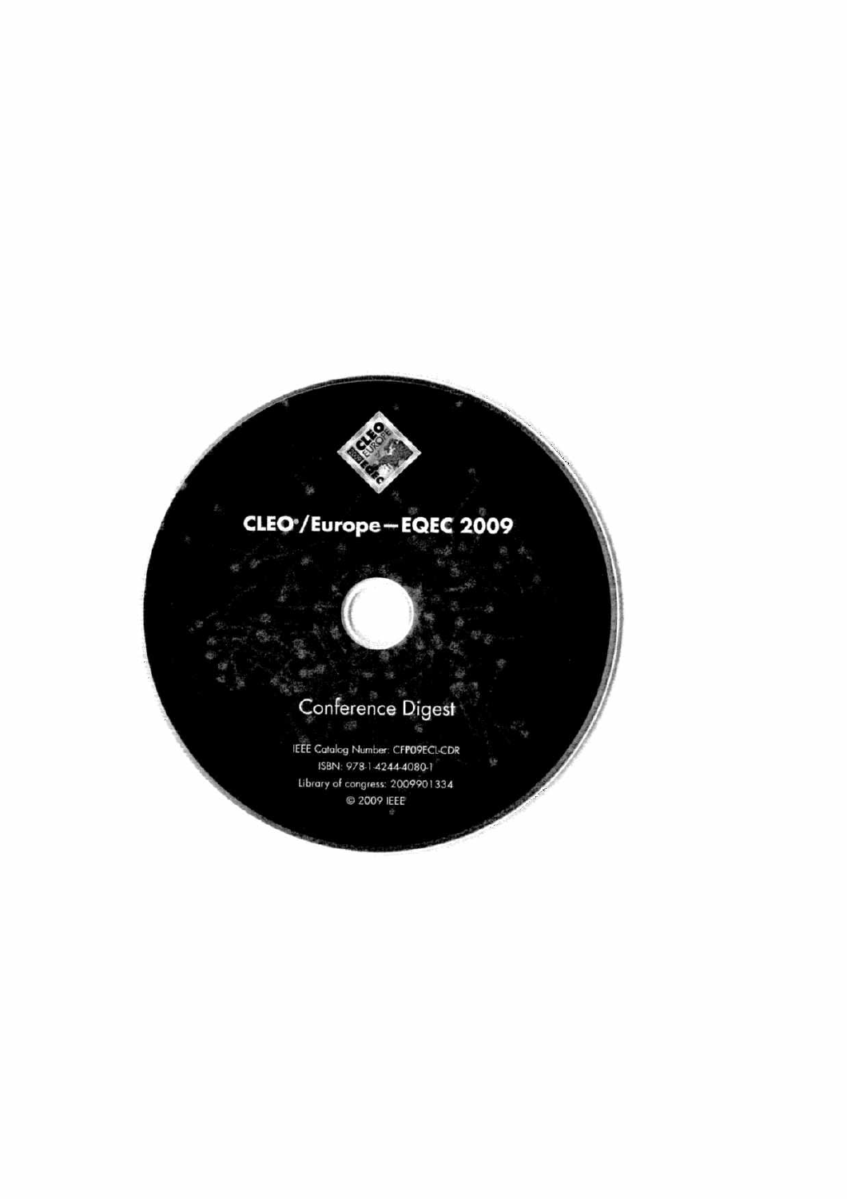## CLEO<sup>\*</sup>/Europe-EQEC 2009

# Conference Digest

IEEE Catalog Number: CFPO9ECL-CDR ISBN: 978-1-4244-4080-1 Library of congress: 2009901334 C 2009 IEEE